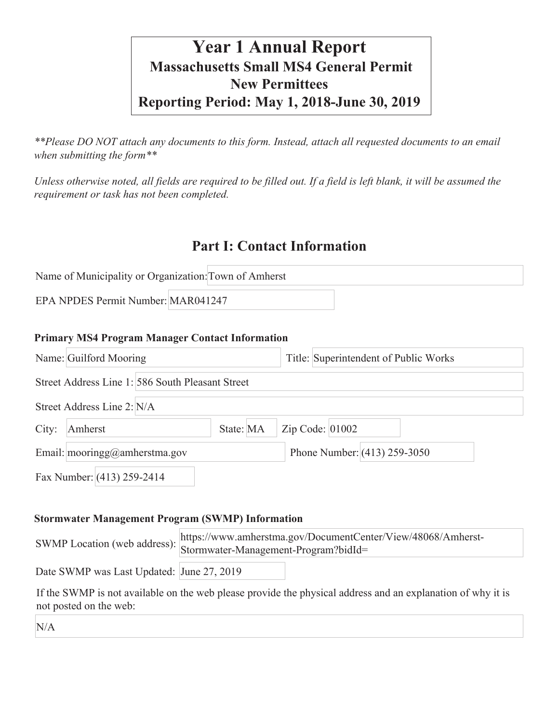# **Year 1 Annual Report Massachusetts Small MS4 General Permit New Permittees Reporting Period: May 1, 2018-June 30, 2019**

*\*\*Please DO NOT attach any documents to this form. Instead, attach all requested documents to an email when submitting the form\*\** 

*Unless otherwise noted, all fields are required to be filled out. If a field is left blank, it will be assumed the requirement or task has not been completed.*

## **Part I: Contact Information**

| Name of Municipality or Organization: Town of Amherst |  |  |  |
|-------------------------------------------------------|--|--|--|
| EPA NPDES Permit Number: MAR041247                    |  |  |  |

#### **Primary MS4 Program Manager Contact Information**

|       | Name: Guilford Mooring                           | Title: Superintendent of Public Works |  |  |  |
|-------|--------------------------------------------------|---------------------------------------|--|--|--|
|       | Street Address Line 1: 586 South Pleasant Street |                                       |  |  |  |
|       | Street Address Line 2: N/A                       |                                       |  |  |  |
| City: | State: MA<br>Amherst                             | Zip Code: 01002                       |  |  |  |
|       | Email: mooringg@amherstma.gov                    | Phone Number: $(413)$ 259-3050        |  |  |  |
|       | Fax Number: (413) 259-2414                       |                                       |  |  |  |

#### **Stormwater Management Program (SWMP) Information**

|                                           | https://www.amherstma.gov/DocumentCenter/View/48068/Amherst-<br>Stormwater-Management-Program?bidId=<br>Stormwater-Management-Program?bidId= |  |
|-------------------------------------------|----------------------------------------------------------------------------------------------------------------------------------------------|--|
| Date SWMP was Last Updated: June 27, 2019 |                                                                                                                                              |  |

If the SWMP is not available on the web please provide the physical address and an explanation of why it is not posted on the web:

N/A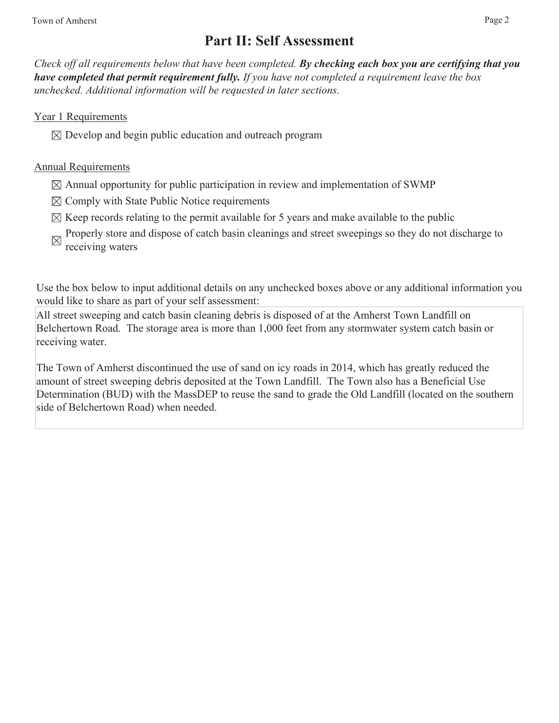## **Part II: Self Assessment**

*Check off all requirements below that have been completed. By checking each box you are certifying that you have completed that permit requirement fully. If you have not completed a requirement leave the box unchecked. Additional information will be requested in later sections.* 

Year 1 Requirements

 $\boxtimes$  Develop and begin public education and outreach program

#### Annual Requirements

- $\boxtimes$  Annual opportunity for public participation in review and implementation of SWMP
- $\boxtimes$  Comply with State Public Notice requirements
- $\boxtimes$  Keep records relating to the permit available for 5 years and make available to the public
- Properly store and dispose of catch basin cleanings and street sweepings so they do not discharge to receiving waters

Use the box below to input additional details on any unchecked boxes above or any additional information you would like to share as part of your self assessment:

All street sweeping and catch basin cleaning debris is disposed of at the Amherst Town Landfill on Belchertown Road. The storage area is more than 1,000 feet from any stormwater system catch basin or receiving water.

The Town of Amherst discontinued the use of sand on icy roads in 2014, which has greatly reduced the amount of street sweeping debris deposited at the Town Landfill. The Town also has a Beneficial Use Determination (BUD) with the MassDEP to reuse the sand to grade the Old Landfill (located on the southern side of Belchertown Road) when needed.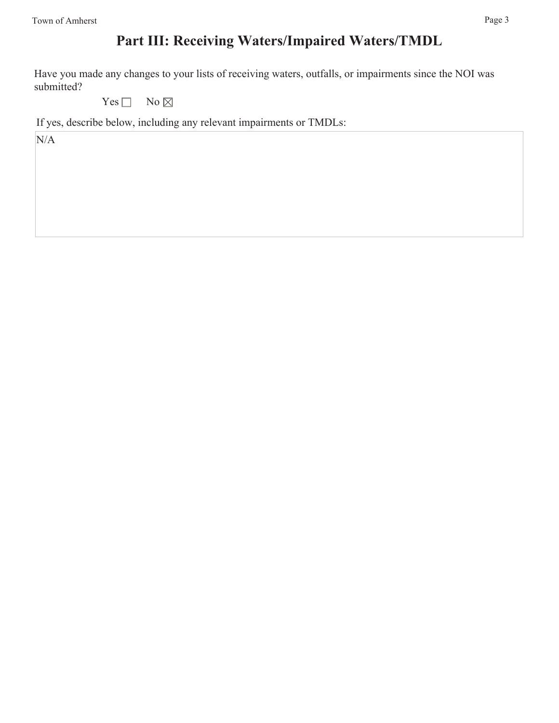Have you made any changes to your lists of receiving waters, outfalls, or impairments since the NOI was submitted?

Yes  $\Box$  No  $\boxtimes$ 

If yes, describe below, including any relevant impairments or TMDLs:

N/A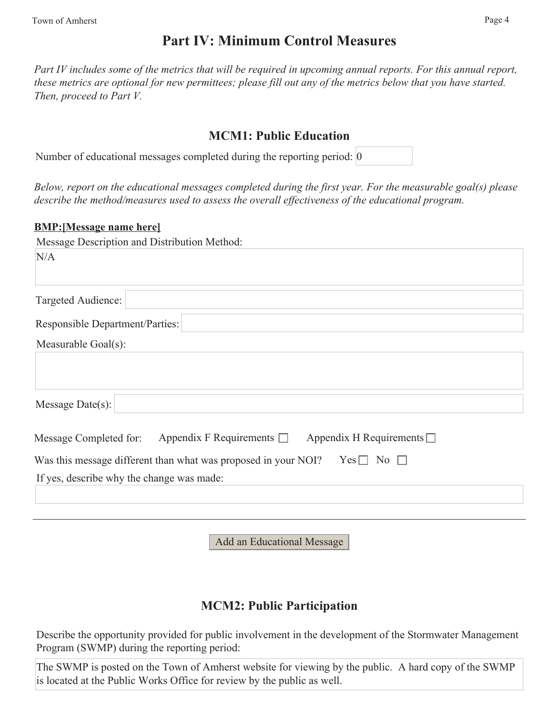## **Part IV: Minimum Control Measures**

Part IV includes some of the metrics that will be required in upcoming annual reports. For this annual report, *these metrics are optional for new permittees; please fill out any of the metrics below that you have started. Then, proceed to Part V.* 

### **MCM1: Public Education**

Number of educational messages completed during the reporting period: 0

*Below, report on the educational messages completed during the first year. For the measurable goal(s) please describe the method/measures used to assess the overall effectiveness of the educational program.*

#### **BMP:[Message name here]**

| Message Description and Distribution Method:                                            |
|-----------------------------------------------------------------------------------------|
| N/A                                                                                     |
| Targeted Audience:                                                                      |
| <b>Responsible Department/Parties:</b>                                                  |
| Measurable Goal(s):                                                                     |
| Message Date(s):                                                                        |
| Appendix F Requirements $\Box$ Appendix H Requirements $\Box$<br>Message Completed for: |
| Was this message different than what was proposed in your NOI? Yes $\Box$ No $\Box$     |
| If yes, describe why the change was made:                                               |
|                                                                                         |
|                                                                                         |
|                                                                                         |

Add an Educational Message

## **MCM2: Public Participation**

Describe the opportunity provided for public involvement in the development of the Stormwater Management Program (SWMP) during the reporting period:

The SWMP is posted on the Town of Amherst website for viewing by the public. A hard copy of the SWMP is located at the Public Works Office for review by the public as well.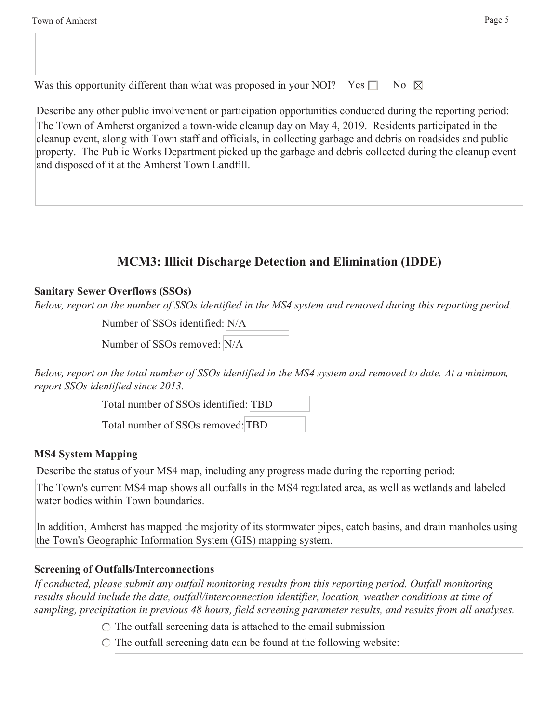Was this opportunity different than what was proposed in your NOI? Yes  $\Box$  No  $\boxtimes$ 

Describe any other public involvement or participation opportunities conducted during the reporting period: The Town of Amherst organized a town-wide cleanup day on May 4, 2019. Residents participated in the cleanup event, along with Town staff and officials, in collecting garbage and debris on roadsides and public property. The Public Works Department picked up the garbage and debris collected during the cleanup event and disposed of it at the Amherst Town Landfill.

### **MCM3: Illicit Discharge Detection and Elimination (IDDE)**

#### **Sanitary Sewer Overflows (SSOs)**

*Below, report on the number of SSOs identified in the MS4 system and removed during this reporting period.*

Number of SSOs identified: N/A

Number of SSOs removed: N/A

*Below, report on the total number of SSOs identified in the MS4 system and removed to date. At a minimum, report SSOs identified since 2013.*

Total number of SSOs identified: TBD

Total number of SSOs removed: TBD

### **MS4 System Mapping**

Describe the status of your MS4 map, including any progress made during the reporting period:

The Town's current MS4 map shows all outfalls in the MS4 regulated area, as well as wetlands and labeled water bodies within Town boundaries.

In addition, Amherst has mapped the majority of its stormwater pipes, catch basins, and drain manholes using the Town's Geographic Information System (GIS) mapping system.

#### **Screening of Outfalls/Interconnections**

*If conducted, please submit any outfall monitoring results from this reporting period. Outfall monitoring results should include the date, outfall/interconnection identifier, location, weather conditions at time of sampling, precipitation in previous 48 hours, field screening parameter results, and results from all analyses.*

 $\circ$  The outfall screening data is attached to the email submission

 $\circ$  The outfall screening data can be found at the following website: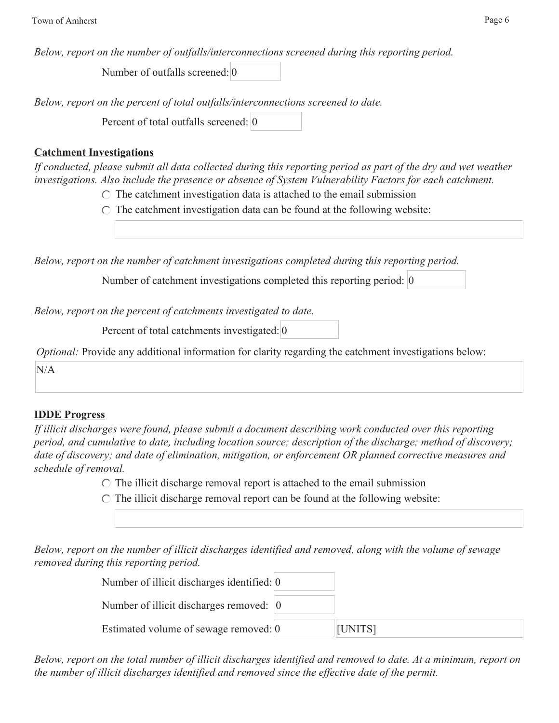*Below, report on the number of outfalls/interconnections screened during this reporting period.*

Number of outfalls screened: 0

*Below, report on the percent of total outfalls/interconnections screened to date.*

Percent of total outfalls screened: 0

#### **Catchment Investigations**

*If conducted, please submit all data collected during this reporting period as part of the dry and wet weather investigations. Also include the presence or absence of System Vulnerability Factors for each catchment.*

 $\circ$  The catchment investigation data is attached to the email submission

 $\circ$  The catchment investigation data can be found at the following website:

*Below, report on the number of catchment investigations completed during this reporting period.*

Number of catchment investigations completed this reporting period: 0

*Below, report on the percent of catchments investigated to date.*

Percent of total catchments investigated: 0

*Optional:* Provide any additional information for clarity regarding the catchment investigations below:

N/A

### **IDDE Progress**

*If illicit discharges were found, please submit a document describing work conducted over this reporting period, and cumulative to date, including location source; description of the discharge; method of discovery; date of discovery; and date of elimination, mitigation, or enforcement OR planned corrective measures and schedule of removal.*

- $\circ$  The illicit discharge removal report is attached to the email submission
- $\circ$  The illicit discharge removal report can be found at the following website:

*Below, report on the number of illicit discharges identified and removed, along with the volume of sewage removed during this reporting period.*

| Number of illicit discharges identified: $\vert 0 \rangle$ |         |
|------------------------------------------------------------|---------|
| Number of illicit discharges removed: $\vert 0 \rangle$    |         |
| Estimated volume of sewage removed: 0                      | [UNITS] |

*Below, report on the total number of illicit discharges identified and removed to date. At a minimum, report on the number of illicit discharges identified and removed since the effective date of the permit.*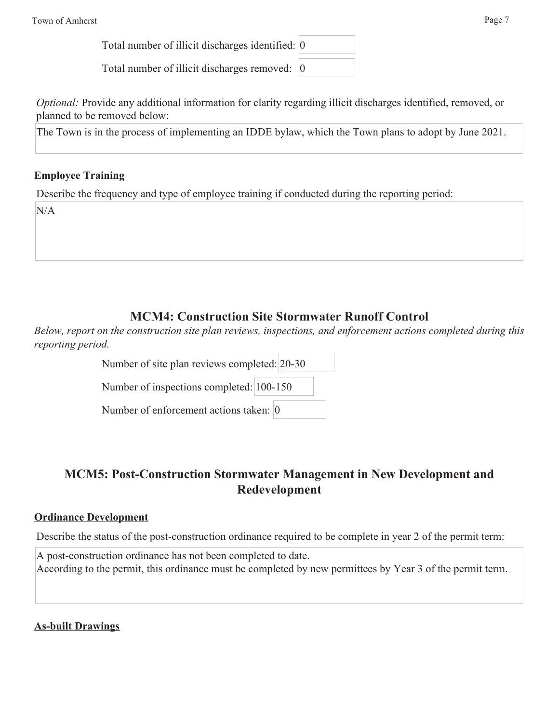Total number of illicit discharges identified: 0

Total number of illicit discharges removed: 0

*Optional:* Provide any additional information for clarity regarding illicit discharges identified, removed, or planned to be removed below:

The Town is in the process of implementing an IDDE bylaw, which the Town plans to adopt by June 2021.

### **Employee Training**

Describe the frequency and type of employee training if conducted during the reporting period:

N/A

## **MCM4: Construction Site Stormwater Runoff Control**

*Below, report on the construction site plan reviews, inspections, and enforcement actions completed during this reporting period.*

Number of site plan reviews completed: 20-30

Number of inspections completed: 100-150

Number of enforcement actions taken: 0

## **MCM5: Post-Construction Stormwater Management in New Development and Redevelopment**

#### **Ordinance Development**

Describe the status of the post-construction ordinance required to be complete in year 2 of the permit term:

A post-construction ordinance has not been completed to date. According to the permit, this ordinance must be completed by new permittees by Year 3 of the permit term.

**As-built Drawings**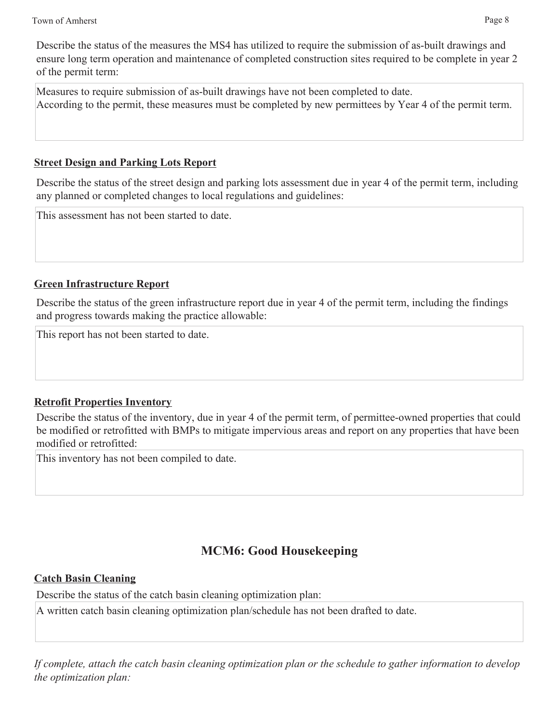Describe the status of the measures the MS4 has utilized to require the submission of as-built drawings and ensure long term operation and maintenance of completed construction sites required to be complete in year 2 of the permit term:

Measures to require submission of as-built drawings have not been completed to date. According to the permit, these measures must be completed by new permittees by Year 4 of the permit term.

#### **Street Design and Parking Lots Report**

Describe the status of the street design and parking lots assessment due in year 4 of the permit term, including any planned or completed changes to local regulations and guidelines:

This assessment has not been started to date.

### **Green Infrastructure Report**

Describe the status of the green infrastructure report due in year 4 of the permit term, including the findings and progress towards making the practice allowable:

This report has not been started to date.

### **Retrofit Properties Inventory**

Describe the status of the inventory, due in year 4 of the permit term, of permittee-owned properties that could be modified or retrofitted with BMPs to mitigate impervious areas and report on any properties that have been modified or retrofitted:

This inventory has not been compiled to date.

## **MCM6: Good Housekeeping**

### **Catch Basin Cleaning**

Describe the status of the catch basin cleaning optimization plan:

A written catch basin cleaning optimization plan/schedule has not been drafted to date.

*If complete, attach the catch basin cleaning optimization plan or the schedule to gather information to develop the optimization plan:*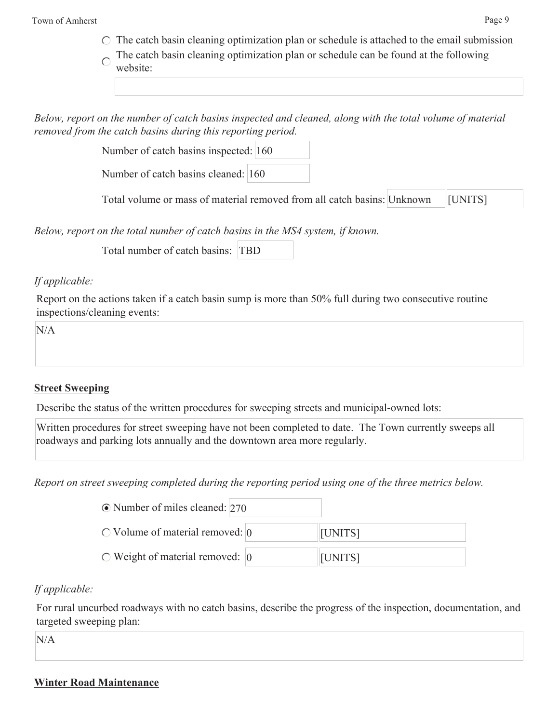Town of Amherst Page 9

- $\circ$  The catch basin cleaning optimization plan or schedule is attached to the email submission
- The catch basin cleaning optimization plan or schedule can be found at the following  $\subset$ website:

*Below, report on the number of catch basins inspected and cleaned, along with the total volume of material removed from the catch basins during this reporting period.*

Number of catch basins inspected: 160

Number of catch basins cleaned: 160

Total volume or mass of material removed from all catch basins: Unknown [UNITS]

*Below, report on the total number of catch basins in the MS4 system, if known.*

Total number of catch basins: TBD

#### *If applicable:*

Report on the actions taken if a catch basin sump is more than 50% full during two consecutive routine inspections/cleaning events:

N/A

### **Street Sweeping**

Describe the status of the written procedures for sweeping streets and municipal-owned lots:

Written procedures for street sweeping have not been completed to date. The Town currently sweeps all roadways and parking lots annually and the downtown area more regularly.

*Report on street sweeping completed during the reporting period using one of the three metrics below.*

| $\odot$ Number of miles cleaned: 270  |                |
|---------------------------------------|----------------|
| $\circ$ Volume of material removed: 0 | <b>[UNITS]</b> |
| $\circ$ Weight of material removed: 0 | [UNITS]        |

### *If applicable:*

For rural uncurbed roadways with no catch basins, describe the progress of the inspection, documentation, and targeted sweeping plan:

N/A

#### **Winter Road Maintenance**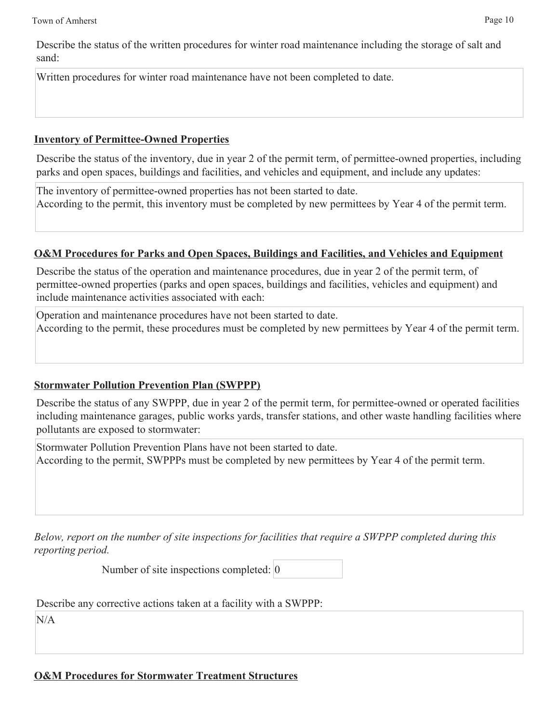Describe the status of the written procedures for winter road maintenance including the storage of salt and sand:

Written procedures for winter road maintenance have not been completed to date.

#### **Inventory of Permittee-Owned Properties**

Describe the status of the inventory, due in year 2 of the permit term, of permittee-owned properties, including parks and open spaces, buildings and facilities, and vehicles and equipment, and include any updates:

The inventory of permittee-owned properties has not been started to date. According to the permit, this inventory must be completed by new permittees by Year 4 of the permit term.

## **O&M Procedures for Parks and Open Spaces, Buildings and Facilities, and Vehicles and Equipment**

Describe the status of the operation and maintenance procedures, due in year 2 of the permit term, of permittee-owned properties (parks and open spaces, buildings and facilities, vehicles and equipment) and include maintenance activities associated with each:

Operation and maintenance procedures have not been started to date. According to the permit, these procedures must be completed by new permittees by Year 4 of the permit term.

## **Stormwater Pollution Prevention Plan (SWPPP)**

Describe the status of any SWPPP, due in year 2 of the permit term, for permittee-owned or operated facilities including maintenance garages, public works yards, transfer stations, and other waste handling facilities where pollutants are exposed to stormwater:

Stormwater Pollution Prevention Plans have not been started to date. According to the permit, SWPPPs must be completed by new permittees by Year 4 of the permit term.

*Below, report on the number of site inspections for facilities that require a SWPPP completed during this reporting period.*

Number of site inspections completed: 0

Describe any corrective actions taken at a facility with a SWPPP:

 $N/A$ 

**O&M Procedures for Stormwater Treatment Structures**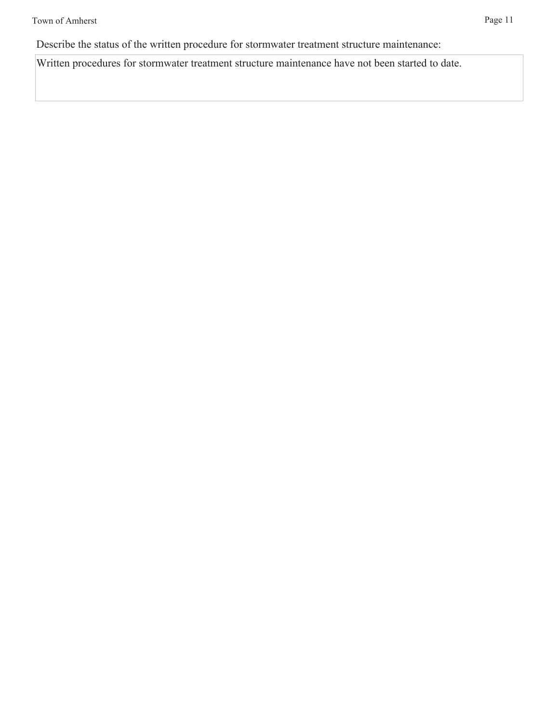Describe the status of the written procedure for stormwater treatment structure maintenance:

Written procedures for stormwater treatment structure maintenance have not been started to date.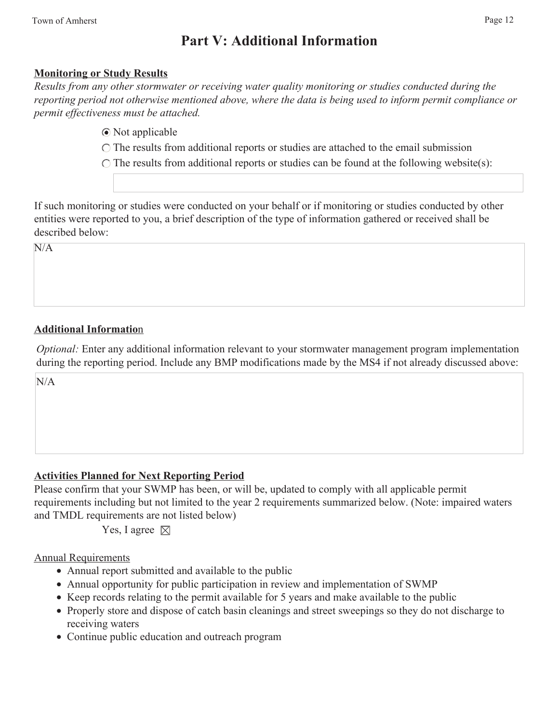## **Part V: Additional Information**

#### **Monitoring or Study Results**

*Results from any other stormwater or receiving water quality monitoring or studies conducted during the reporting period not otherwise mentioned above, where the data is being used to inform permit compliance or permit effectiveness must be attached.*

Not applicable

The results from additional reports or studies are attached to the email submission

 $\bigcirc$  The results from additional reports or studies can be found at the following website(s):

If such monitoring or studies were conducted on your behalf or if monitoring or studies conducted by other entities were reported to you, a brief description of the type of information gathered or received shall be described below:

 $N/A$ 

### **Additional Informatio**n

*Optional:* Enter any additional information relevant to your stormwater management program implementation during the reporting period. Include any BMP modifications made by the MS4 if not already discussed above:

N/A

### **Activities Planned for Next Reporting Period**

Please confirm that your SWMP has been, or will be, updated to comply with all applicable permit requirements including but not limited to the year 2 requirements summarized below. (Note: impaired waters and TMDL requirements are not listed below)

Yes, I agree  $\boxtimes$ 

#### Annual Requirements

- Annual report submitted and available to the public
- Annual opportunity for public participation in review and implementation of SWMP
- Keep records relating to the permit available for 5 years and make available to the public
- Properly store and dispose of catch basin cleanings and street sweepings so they do not discharge to receiving waters
- Continue public education and outreach program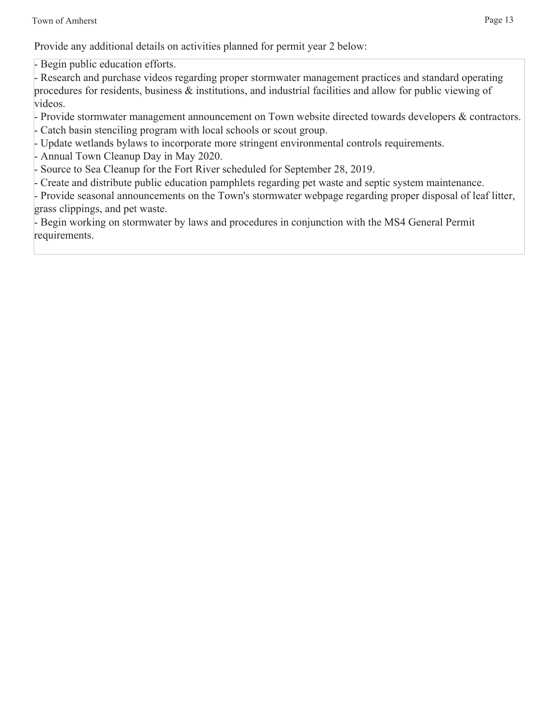Provide any additional details on activities planned for permit year 2 below:

- Begin public education efforts.

- Research and purchase videos regarding proper stormwater management practices and standard operating procedures for residents, business & institutions, and industrial facilities and allow for public viewing of videos.

- Provide stormwater management announcement on Town website directed towards developers & contractors. - Catch basin stenciling program with local schools or scout group.
- Update wetlands bylaws to incorporate more stringent environmental controls requirements.
- Annual Town Cleanup Day in May 2020.

- Source to Sea Cleanup for the Fort River scheduled for September 28, 2019.

- Create and distribute public education pamphlets regarding pet waste and septic system maintenance.

- Provide seasonal announcements on the Town's stormwater webpage regarding proper disposal of leaf litter, grass clippings, and pet waste.

- Begin working on stormwater by laws and procedures in conjunction with the MS4 General Permit requirements.